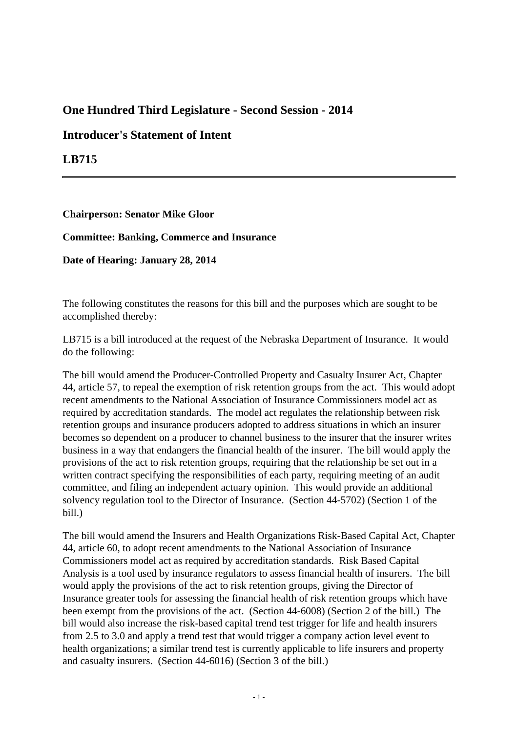## **One Hundred Third Legislature - Second Session - 2014**

## **Introducer's Statement of Intent**

**LB715**

**Chairperson: Senator Mike Gloor**

**Committee: Banking, Commerce and Insurance**

**Date of Hearing: January 28, 2014**

The following constitutes the reasons for this bill and the purposes which are sought to be accomplished thereby:

LB715 is a bill introduced at the request of the Nebraska Department of Insurance. It would do the following:

The bill would amend the Producer-Controlled Property and Casualty Insurer Act, Chapter 44, article 57, to repeal the exemption of risk retention groups from the act. This would adopt recent amendments to the National Association of Insurance Commissioners model act as required by accreditation standards. The model act regulates the relationship between risk retention groups and insurance producers adopted to address situations in which an insurer becomes so dependent on a producer to channel business to the insurer that the insurer writes business in a way that endangers the financial health of the insurer. The bill would apply the provisions of the act to risk retention groups, requiring that the relationship be set out in a written contract specifying the responsibilities of each party, requiring meeting of an audit committee, and filing an independent actuary opinion. This would provide an additional solvency regulation tool to the Director of Insurance. (Section 44-5702) (Section 1 of the bill.)

The bill would amend the Insurers and Health Organizations Risk-Based Capital Act, Chapter 44, article 60, to adopt recent amendments to the National Association of Insurance Commissioners model act as required by accreditation standards. Risk Based Capital Analysis is a tool used by insurance regulators to assess financial health of insurers. The bill would apply the provisions of the act to risk retention groups, giving the Director of Insurance greater tools for assessing the financial health of risk retention groups which have been exempt from the provisions of the act. (Section 44-6008) (Section 2 of the bill.) The bill would also increase the risk-based capital trend test trigger for life and health insurers from 2.5 to 3.0 and apply a trend test that would trigger a company action level event to health organizations; a similar trend test is currently applicable to life insurers and property and casualty insurers. (Section 44-6016) (Section 3 of the bill.)